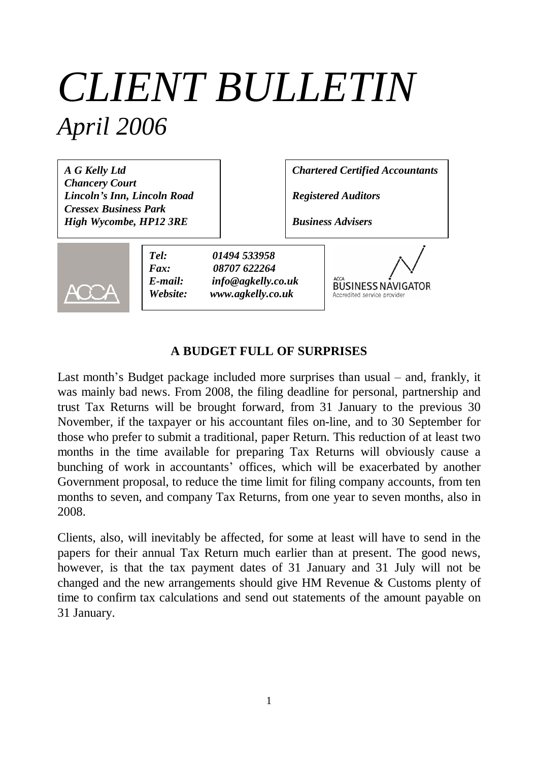# *CLIENT BULLETIN April 2006*

*A G Kelly Ltd Chancery Court Lincoln's Inn, Lincoln Road Cressex Business Park High Wycombe, HP12 3RE*

*Chartered Certified Accountants*

*Registered Auditors*

*Business Advisers*



*Tel: 01494 533958 Fax: 08707 622264 E-mail: info@agkelly.co.uk Website: www.agkelly.co.uk*

**BUSINESS NAVIGATOR** Accredited service provider

## **A BUDGET FULL OF SURPRISES**

Last month's Budget package included more surprises than usual – and, frankly, it was mainly bad news. From 2008, the filing deadline for personal, partnership and trust Tax Returns will be brought forward, from 31 January to the previous 30 November, if the taxpayer or his accountant files on-line, and to 30 September for those who prefer to submit a traditional, paper Return. This reduction of at least two months in the time available for preparing Tax Returns will obviously cause a bunching of work in accountants' offices, which will be exacerbated by another Government proposal, to reduce the time limit for filing company accounts, from ten months to seven, and company Tax Returns, from one year to seven months, also in 2008.

Clients, also, will inevitably be affected, for some at least will have to send in the papers for their annual Tax Return much earlier than at present. The good news, however, is that the tax payment dates of 31 January and 31 July will not be changed and the new arrangements should give HM Revenue & Customs plenty of time to confirm tax calculations and send out statements of the amount payable on 31 January.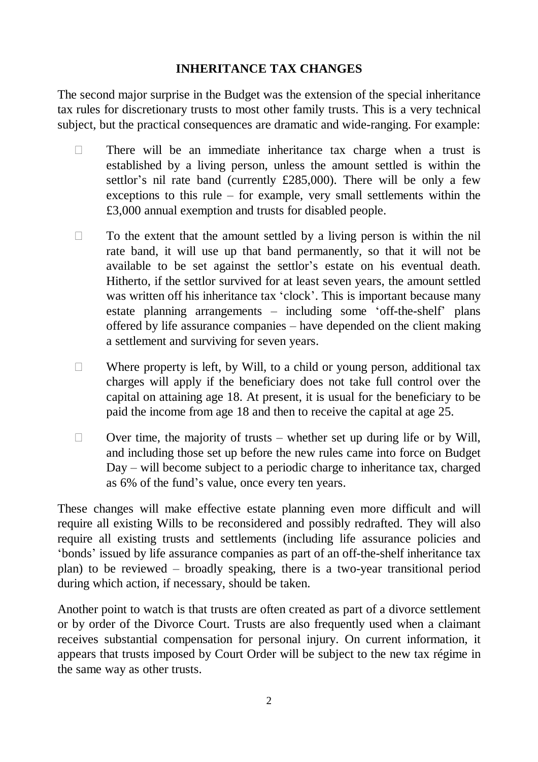# **INHERITANCE TAX CHANGES**

The second major surprise in the Budget was the extension of the special inheritance tax rules for discretionary trusts to most other family trusts. This is a very technical subject, but the practical consequences are dramatic and wide-ranging. For example:

- $\Box$  There will be an immediate inheritance tax charge when a trust is established by a living person, unless the amount settled is within the settlor's nil rate band (currently £285,000). There will be only a few exceptions to this rule – for example, very small settlements within the £3,000 annual exemption and trusts for disabled people.
- $\Box$  To the extent that the amount settled by a living person is within the nil rate band, it will use up that band permanently, so that it will not be available to be set against the settlor's estate on his eventual death. Hitherto, if the settlor survived for at least seven years, the amount settled was written off his inheritance tax 'clock'. This is important because many estate planning arrangements – including some 'off-the-shelf' plans offered by life assurance companies – have depended on the client making a settlement and surviving for seven years.
- $\Box$  Where property is left, by Will, to a child or young person, additional tax charges will apply if the beneficiary does not take full control over the capital on attaining age 18. At present, it is usual for the beneficiary to be paid the income from age 18 and then to receive the capital at age 25.
- $\Box$  Over time, the majority of trusts whether set up during life or by Will, and including those set up before the new rules came into force on Budget Day – will become subject to a periodic charge to inheritance tax, charged as 6% of the fund's value, once every ten years.

These changes will make effective estate planning even more difficult and will require all existing Wills to be reconsidered and possibly redrafted. They will also require all existing trusts and settlements (including life assurance policies and 'bonds' issued by life assurance companies as part of an off-the-shelf inheritance tax plan) to be reviewed – broadly speaking, there is a two-year transitional period during which action, if necessary, should be taken.

Another point to watch is that trusts are often created as part of a divorce settlement or by order of the Divorce Court. Trusts are also frequently used when a claimant receives substantial compensation for personal injury. On current information, it appears that trusts imposed by Court Order will be subject to the new tax régime in the same way as other trusts.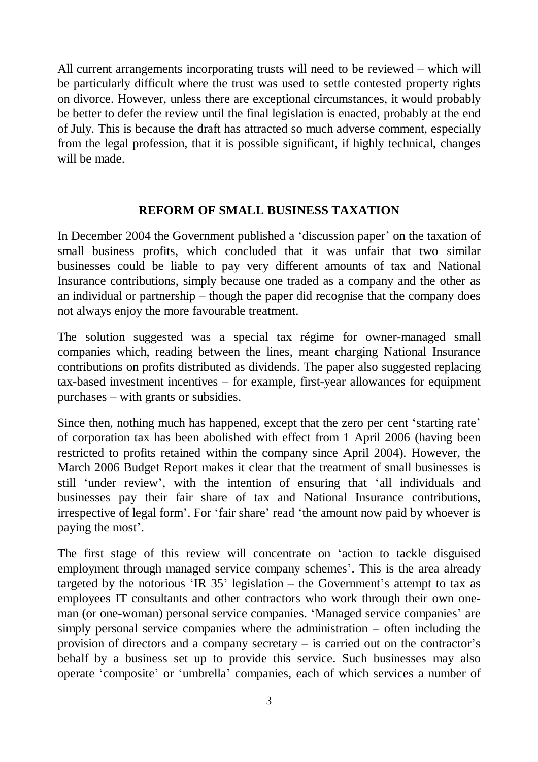All current arrangements incorporating trusts will need to be reviewed – which will be particularly difficult where the trust was used to settle contested property rights on divorce. However, unless there are exceptional circumstances, it would probably be better to defer the review until the final legislation is enacted, probably at the end of July. This is because the draft has attracted so much adverse comment, especially from the legal profession, that it is possible significant, if highly technical, changes will be made.

### **REFORM OF SMALL BUSINESS TAXATION**

In December 2004 the Government published a 'discussion paper' on the taxation of small business profits, which concluded that it was unfair that two similar businesses could be liable to pay very different amounts of tax and National Insurance contributions, simply because one traded as a company and the other as an individual or partnership – though the paper did recognise that the company does not always enjoy the more favourable treatment.

The solution suggested was a special tax régime for owner-managed small companies which, reading between the lines, meant charging National Insurance contributions on profits distributed as dividends. The paper also suggested replacing tax-based investment incentives – for example, first-year allowances for equipment purchases – with grants or subsidies.

Since then, nothing much has happened, except that the zero per cent 'starting rate' of corporation tax has been abolished with effect from 1 April 2006 (having been restricted to profits retained within the company since April 2004). However, the March 2006 Budget Report makes it clear that the treatment of small businesses is still 'under review', with the intention of ensuring that 'all individuals and businesses pay their fair share of tax and National Insurance contributions, irrespective of legal form'. For 'fair share' read 'the amount now paid by whoever is paying the most'.

The first stage of this review will concentrate on 'action to tackle disguised employment through managed service company schemes'. This is the area already targeted by the notorious 'IR  $35$ ' legislation – the Government's attempt to tax as employees IT consultants and other contractors who work through their own oneman (or one-woman) personal service companies. 'Managed service companies' are simply personal service companies where the administration – often including the provision of directors and a company secretary – is carried out on the contractor's behalf by a business set up to provide this service. Such businesses may also operate 'composite' or 'umbrella' companies, each of which services a number of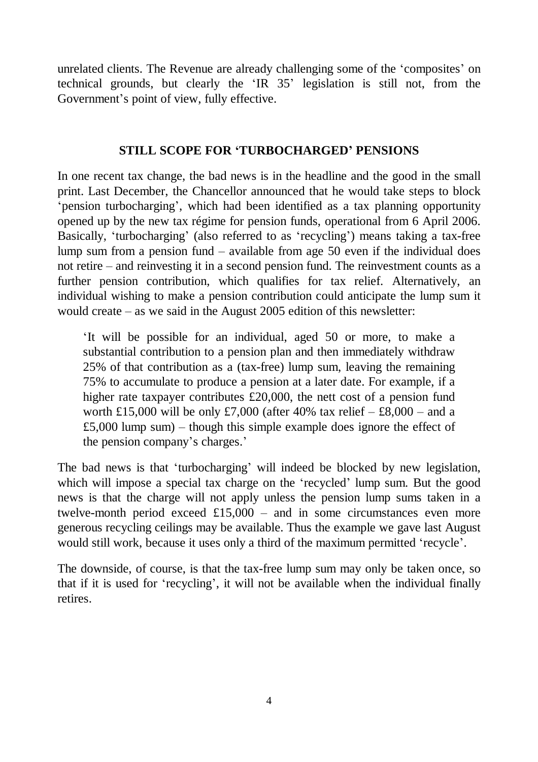unrelated clients. The Revenue are already challenging some of the 'composites' on technical grounds, but clearly the 'IR 35' legislation is still not, from the Government's point of view, fully effective.

# **STILL SCOPE FOR 'TURBOCHARGED' PENSIONS**

In one recent tax change, the bad news is in the headline and the good in the small print. Last December, the Chancellor announced that he would take steps to block 'pension turbocharging', which had been identified as a tax planning opportunity opened up by the new tax régime for pension funds, operational from 6 April 2006. Basically, 'turbocharging' (also referred to as 'recycling') means taking a tax-free lump sum from a pension fund – available from age 50 even if the individual does not retire – and reinvesting it in a second pension fund. The reinvestment counts as a further pension contribution, which qualifies for tax relief. Alternatively, an individual wishing to make a pension contribution could anticipate the lump sum it would create – as we said in the August 2005 edition of this newsletter:

'It will be possible for an individual, aged 50 or more, to make a substantial contribution to a pension plan and then immediately withdraw 25% of that contribution as a (tax-free) lump sum, leaving the remaining 75% to accumulate to produce a pension at a later date. For example, if a higher rate taxpayer contributes £20,000, the nett cost of a pension fund worth £15,000 will be only £7,000 (after 40% tax relief  $-$  £8,000 – and a £5,000 lump sum) – though this simple example does ignore the effect of the pension company's charges.'

The bad news is that 'turbocharging' will indeed be blocked by new legislation, which will impose a special tax charge on the 'recycled' lump sum. But the good news is that the charge will not apply unless the pension lump sums taken in a twelve-month period exceed  $£15,000 -$  and in some circumstances even more generous recycling ceilings may be available. Thus the example we gave last August would still work, because it uses only a third of the maximum permitted 'recycle'.

The downside, of course, is that the tax-free lump sum may only be taken once, so that if it is used for 'recycling', it will not be available when the individual finally retires.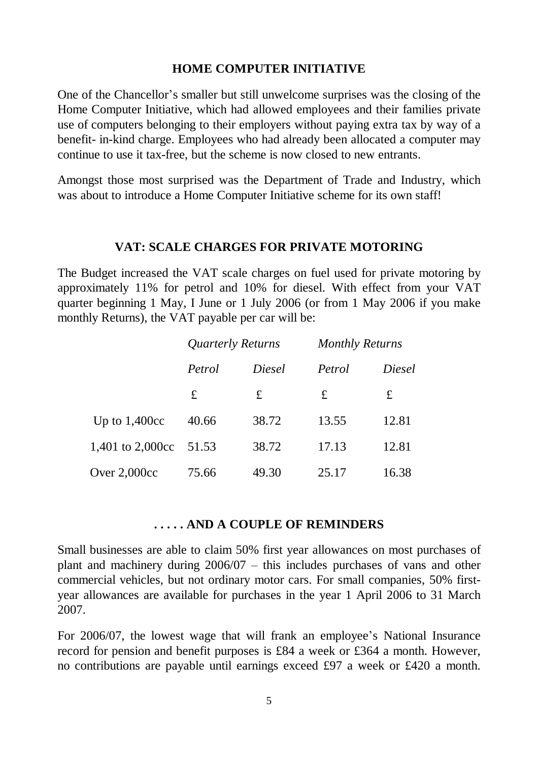#### **HOME COMPUTER INITIATIVE**

One of the Chancellor's smaller but still unwelcome surprises was the closing of the Home Computer Initiative, which had allowed employees and their families private use of computers belonging to their employers without paying extra tax by way of a benefit- in-kind charge. Employees who had already been allocated a computer may continue to use it tax-free, but the scheme is now closed to new entrants.

Amongst those most surprised was the Department of Trade and Industry, which was about to introduce a Home Computer Initiative scheme for its own staff!

#### **VAT: SCALE CHARGES FOR PRIVATE MOTORING**

The Budget increased the VAT scale charges on fuel used for private motoring by approximately 11% for petrol and 10% for diesel. With effect from your VAT quarter beginning 1 May, I June or 1 July 2006 (or from 1 May 2006 if you make monthly Returns), the VAT payable per car will be:

|                  | Quarterly Returns |        | <b>Monthly Returns</b> |        |
|------------------|-------------------|--------|------------------------|--------|
|                  | Petrol            | Diesel | Petrol                 | Diesel |
|                  | $\mathbf f$       | £      | £                      | £      |
| Up to $1,400cc$  | 40.66             | 38.72  | 13.55                  | 12.81  |
| 1,401 to 2,000cc | 51.53             | 38.72  | 17.13                  | 12.81  |
| Over $2,000cc$   | 75.66             | 49.30  | 25.17                  | 16.38  |

#### **. . . . . AND A COUPLE OF REMINDERS**

Small businesses are able to claim 50% first year allowances on most purchases of plant and machinery during 2006/07 – this includes purchases of vans and other commercial vehicles, but not ordinary motor cars. For small companies, 50% firstyear allowances are available for purchases in the year 1 April 2006 to 31 March 2007.

For 2006/07, the lowest wage that will frank an employee's National Insurance record for pension and benefit purposes is £84 a week or £364 a month. However, no contributions are payable until earnings exceed £97 a week or £420 a month.